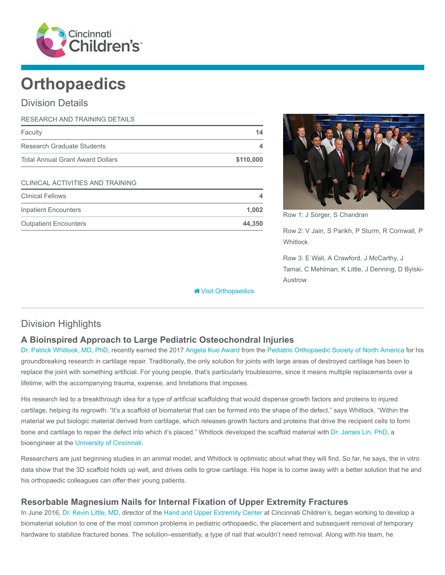

# **Orthopaedics**

## Division Details

| RESEARCH AND TRAINING DETAILS           |           |
|-----------------------------------------|-----------|
| Faculty                                 | 14        |
| Research Graduate Students              | 4         |
| <b>Total Annual Grant Award Dollars</b> | \$110,000 |
| <b>CLINICAL ACTIVITIES AND TRAINING</b> |           |
| <b>Clinical Fellows</b>                 | 4         |
| Inpatient Encounters                    | 1,002     |
| <b>Outpatient Encounters</b>            | 44.350    |



Row 1: J Sorger, S Chandran

Row 2: V Jain, S Parikh, P Sturm, R Cornwall, P **Whitlock** 

Row 3: E Wall, A Crawford, J McCarthy, J Tamai, C Mehlman, K Little, J Denning, D Bylski-Austrow

# Division Highlights

### A Bioinspired Approach to Large Pediatric Osteochondral Injuries

[Dr. Patrick Whitlock, MD, PhD](https://www.cincinnatichildrens.org/bio/w/patrick-whitlock), recently earned the 2017 [Angela Kuo Award](https://posna.org/Research-Innovation/Awards-Grants/Research-Grant-Details?itemid=10) from the [Pediatric Orthopaedic Society of North America](https://posna.org/) for his groundbreaking research in cartilage repair. Traditionally, the only solution for joints with large areas of destroyed cartilage has been to replace the joint with something artificial. For young people, that's particularly troublesome, since it means multiple replacements over a lifetime, with the accompanying trauma, expense, and limitations that imposes.

**W** [Visit Orthopaedics](https://www.cincinnatichildrens.org/research/divisions/o/orthopaedics)

His research led to a breakthrough idea for a type of artificial scaffolding that would dispense growth factors and proteins to injured cartilage, helping its regrowth. "It's a scaffold of biomaterial that can be formed into the shape of the defect," says Whitlock. "Within the material we put biologic material derived from cartilage, which releases growth factors and proteins that drive the recipient cells to form bone and cartilage to repair the defect into which it's placed." Whitlock developed the scaffold material with [Dr. James Lin, PhD,](http://ceas.uc.edu/faculty_staff/profiles/chia-ying-lin.html) a bioengineer at the [University of Cincinnati](http://www.uc.edu/).

Researchers are just beginning studies in an animal model, and Whitlock is optimistic about what they will find. So far, he says, the in vitro data show that the 3D scaffold holds up well, and drives cells to grow cartilage. His hope is to come away with a better solution that he and his orthopaedic colleagues can offer their young patients.

#### Resorbable Magnesium Nails for Internal Fixation of Upper Extremity Fractures

In June 2016, [Dr. Kevin Little, MD](https://www.cincinnatichildrens.org/bio/l/kevin-little), director of the [Hand and Upper Extremity Center](https://www.cincinnatichildrens.org/service/h/hand-upper-extremity) at Cincinnati Children's, began working to develop a biomaterial solution to one of the most common problems in pediatric orthopaedic, the placement and subsequent removal of temporary hardware to stabilize fractured bones. The solution–essentially, a type of nail that wouldn't need removal. Along with his team, he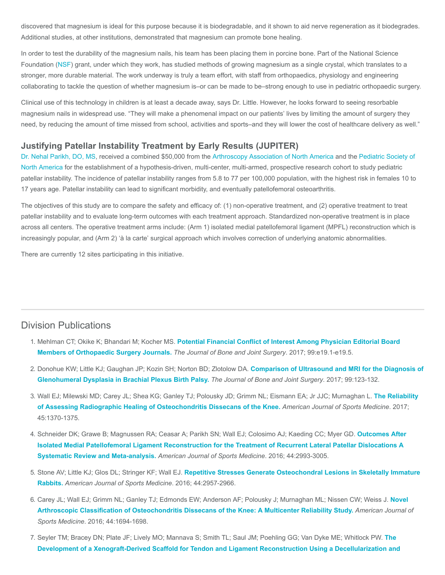discovered that magnesium is ideal for this purpose because it is biodegradable, and it shown to aid nerve regeneration as it biodegrades. Additional studies, at other institutions, demonstrated that magnesium can promote bone healing.

In order to test the durability of the magnesium nails, his team has been placing them in porcine bone. Part of the National Science Foundation [\(NSF](https://www.nsf.gov/)) grant, under which they work, has studied methods of growing magnesium as a single crystal, which translates to a stronger, more durable material. The work underway is truly a team effort, with staff from orthopaedics, physiology and engineering collaborating to tackle the question of whether magnesium is–or can be made to be–strong enough to use in pediatric orthopaedic surgery.

Clinical use of this technology in children is at least a decade away, says Dr. Little. However, he looks forward to seeing resorbable magnesium nails in widespread use. "They will make a phenomenal impact on our patients' lives by limiting the amount of surgery they need, by reducing the amount of time missed from school, activities and sports–and they will lower the cost of healthcare delivery as well."

#### Justifying Patellar Instability Treatment by Early Results (JUPITER)

[Dr. Nehal Parikh, DO, MS](https://www.cincinnatichildrens.org/bio/p/nehal-parikh)[, received a combined \\$50,000 from the](https://posna.org/) [Arthroscopy Association of North America](http://www.aana.org/) [and the Pediatric Society of](https://posna.org/) North America for the establishment of a hypothesis-driven, multi-center, multi-armed, prospective research cohort to study pediatric patellar instability. The incidence of patellar instability ranges from 5.8 to 77 per 100,000 population, with the highest risk in females 10 to 17 years age. Patellar instability can lead to significant morbidity, and eventually patellofemoral osteoarthritis.

The objectives of this study are to compare the safety and efficacy of: (1) non-operative treatment, and (2) operative treatment to treat patellar instability and to evaluate long-term outcomes with each treatment approach. Standardized non-operative treatment is in place across all centers. The operative treatment arms include: (Arm 1) isolated medial patellofemoral ligament (MPFL) reconstruction which is increasingly popular, and (Arm 2) 'à la carte' surgical approach which involves correction of underlying anatomic abnormalities.

There are currently 12 sites participating in this initiative.

#### Division Publications

- 1. Mehlman CT; Okike K; Bhandari M; Kocher MS. [Potential Financial Conflict of Interest Among Physician Editorial Board](https://www.ncbi.nlm.nih.gov/pubmed/28244918) Members of Orthopaedic Surgery Journals. The Journal of Bone and Joint Surgery. 2017; 99:e19.1-e19.5.
- 2. [Donohue KW; Little KJ; Gaughan JP; Kozin SH; Norton BD; Zlotolow DA.](https://www.ncbi.nlm.nih.gov/pubmed/28099302) Comparison of Ultrasound and MRI for the Diagnosis of Glenohumeral Dysplasia in Brachial Plexus Birth Palsy. The Journal of Bone and Joint Surgery. 2017; 99:123-132.
- 3. [Wall EJ; Milewski MD; Carey JL; Shea KG; Ganley TJ; Polousky JD; Grimm NL; Eismann EA; Jr JJC; Murnaghan L.](https://www.ncbi.nlm.nih.gov/pubmed/28398084) The Reliability of Assessing Radiographic Healing of Osteochondritis Dissecans of the Knee. American Journal of Sports Medicine. 2017; 45:1370-1375.
- 4. [Schneider DK; Grawe B; Magnussen RA; Ceasar A; Parikh SN; Wall EJ; Colosimo AJ; Kaeding CC; Myer GD.](https://www.ncbi.nlm.nih.gov/pubmed/26872895) Outcomes After Isolated Medial Patellofemoral Ligament Reconstruction for the Treatment of Recurrent Lateral Patellar Dislocations A Systematic Review and Meta-analysis. American Journal of Sports Medicine. 2016; 44:2993-3005.
- 5. Stone AV; Little KJ; Glos DL; Stringer KF; Wall EJ. [Repetitive Stresses Generate Osteochondral Lesions in Skeletally Immature](https://www.ncbi.nlm.nih.gov/pubmed/27460999) Rabbits. American Journal of Sports Medicine. 2016; 44:2957-2966.
- 6. [Carey JL; Wall EJ; Grimm NL; Ganley TJ; Edmonds EW; Anderson AF; Polousky J; Murnaghan ML; Nissen CW; Weiss J.](https://www.ncbi.nlm.nih.gov/pubmed/27159302) Novel Arthroscopic Classification of Osteochondritis Dissecans of the Knee: A Multicenter Reliability Study. American Journal of Sports Medicine. 2016; 44:1694-1698.
- 7. [Seyler TM; Bracey DN; Plate JF; Lively MO; Mannava S; Smith TL; Saul JM; Poehling GG; Van Dyke ME; Whitlock PW.](https://www.ncbi.nlm.nih.gov/pubmed/27692557) The Development of a Xenograft-Derived Scaffold for Tendon and Ligament Reconstruction Using a Decellularization and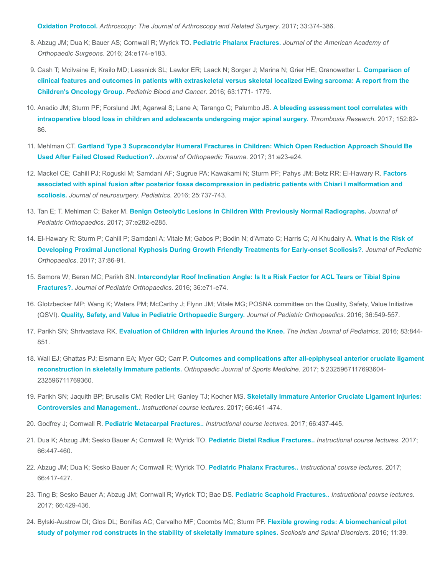Oxidation Protocol. [Arthroscopy: The Journal of Arthroscopy and Related Surgery](https://www.ncbi.nlm.nih.gov/pubmed/27692557). 2017; 33:374-386.

- 8. Abzug JM; Dua K; Bauer AS; Cornwall R; Wyrick TO. [Pediatric Phalanx Fractures.](https://www.ncbi.nlm.nih.gov/pubmed/27755266) Journal of the American Academy of Orthopaedic Surgeons. 2016; 24:e174-e183.
- 9. [Cash T; Mcilvaine E; Krailo MD; Lessnick SL; Lawlor ER; Laack N; Sorger J; Marina N; Grier HE; Granowetter L.](https://www.ncbi.nlm.nih.gov/pubmed/27297500) Comparison of clinical features and outcomes in patients with extraskeletal versus skeletal localized Ewing sarcoma: A report from the Children's Oncology Group. Pediatric Blood and Cancer. 2016; 63:1771- 1779.
- 10. Anadio JM; Sturm PF; Forslund JM; Agarwal S; Lane A; Tarango C; Palumbo JS. A bleeding assessment tool correlates with [intraoperative blood loss in children and adolescents undergoing major spinal surgery.](https://www.ncbi.nlm.nih.gov/pubmed/28262568) Thrombosis Research. 2017; 152:82-86.
- 11. Mehlman CT. [Gartland Type 3 Supracondylar Humeral Fractures in Children: Which Open Reduction Approach Should Be](https://www.ncbi.nlm.nih.gov/pubmed/27984450) Used After Failed Closed Reduction?. Journal of Orthopaedic Trauma. 2017; 31:e23-e24.
- 12. [Mackel CE; Cahill PJ; Roguski M; Samdani AF; Sugrue PA; Kawakami N; Sturm PF; Pahys JM; Betz RR; El-Hawary R.](https://www.ncbi.nlm.nih.gov/pubmed/27589598) Factors associated with spinal fusion after posterior fossa decompression in pediatric patients with Chiari I malformation and scoliosis. Journal of neurosurgery. Pediatrics. 2016; 25:737-743.
- 13. Tan E; T. Mehlman C; Baker M. [Benign Osteolytic Lesions in Children With Previously Normal Radiographs.](https://www.ncbi.nlm.nih.gov/pubmed/28009802) Journal of Pediatric Orthopaedics. 2017; 37:e282-e285.
- 14. [El-Hawary R; Sturm P; Cahill P; Samdani A; Vitale M; Gabos P; Bodin N; d'Amato C; Harris C; Al Khudairy A.](https://www.ncbi.nlm.nih.gov/pubmed/26192880) What is the Risk of Developing Proximal Junctional Kyphosis During Growth Friendly Treatments for Early-onset Scoliosis?. Journal of Pediatric Orthopaedics. 2017; 37:86-91.
- 15. Samora W; Beran MC; Parikh SN. [Intercondylar Roof Inclination Angle: Is It a Risk Factor for ACL Tears or Tibial Spine](https://www.ncbi.nlm.nih.gov/pubmed/26327400) Fractures?. Journal of Pediatric Orthopaedics. 2016; 36:e71-e74.
- 16. Glotzbecker MP; Wang K; Waters PM; McCarthy J; Flynn JM; Vitale MG; POSNA committee on the Quality, Safety, Value Initiative (QSVI). [Quality, Safety, and Value in Pediatric Orthopaedic Surgery.](https://www.ncbi.nlm.nih.gov/pubmed/26296218) Journal of Pediatric Orthopaedics. 2016; 36:549-557.
- 17. Parikh SN; Shrivastava RK. [Evaluation of Children with Injuries Around the Knee.](https://www.ncbi.nlm.nih.gov/pubmed/26924653) The Indian Journal of Pediatrics. 2016; 83:844-851.
- 18. Wall EJ; Ghattas PJ; Eismann EA; Myer GD; Carr P. [Outcomes and complications after all-epiphyseal anterior cruciate ligament](https://www.ncbi.nlm.nih.gov/pubmed/28451597) reconstruction in skeletally immature patients. Orthopaedic Journal of Sports Medicine. 2017; 5:2325967117693604- 232596711769360.
- 19. [Parikh SN; Jaquith BP; Brusalis CM; Redler LH; Ganley TJ; Kocher MS.](https://www.ncbi.nlm.nih.gov/pubmed/28594522) Skeletally Immature Anterior Cruciate Ligament Injuries: Controversies and Management.. Instructional course lectures. 2017; 66:461 -474.
- 20. Godfrey J; Cornwall R. [Pediatric Metacarpal Fractures..](https://www.ncbi.nlm.nih.gov/pubmed/28594520) Instructional course lectures. 2017; 66:437-445.
- 21. Dua K; Abzug JM; Sesko Bauer A; Cornwall R; Wyrick TO. [Pediatric Distal Radius Fractures..](https://www.ncbi.nlm.nih.gov/pubmed/28594521) Instructional course lectures. 2017; 66:447-460.
- 22. Abzug JM; Dua K; Sesko Bauer A; Cornwall R; Wyrick TO. [Pediatric Phalanx Fractures..](https://www.ncbi.nlm.nih.gov/pubmed/28594518) Instructional course lectures. 2017; 66:417-427.
- 23. Ting B; Sesko Bauer A; Abzug JM; Cornwall R; Wyrick TO; Bae DS. [Pediatric Scaphoid Fractures..](https://www.ncbi.nlm.nih.gov/pubmed/28594519) Instructional course lectures. 2017; 66:429-436.
- 24. [Bylski-Austrow DI; Glos DL; Bonifas AC; Carvalho MF; Coombs MC; Sturm PF.](https://www.ncbi.nlm.nih.gov/pubmed/27689140) Flexible growing rods: A biomechanical pilot study of polymer rod constructs in the stability of skeletally immature spines. Scoliosis and Spinal Disorders. 2016; 11:39.